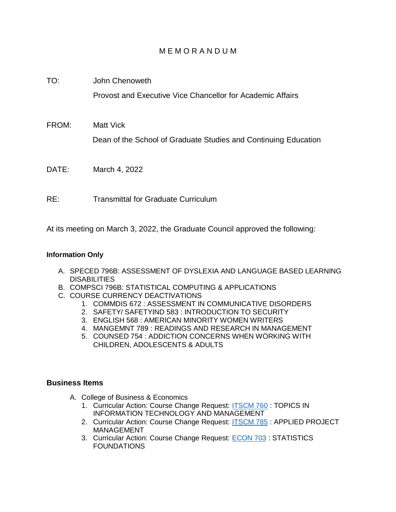## M E M O R A N D U M

TO: John Chenoweth Provost and Executive Vice Chancellor for Academic Affairs FROM: Matt Vick Dean of the School of Graduate Studies and Continuing Education DATE: March 4, 2022

RE: Transmittal for Graduate Curriculum

At its meeting on March 3, 2022, the Graduate Council approved the following:

## **Information Only**

- A. SPECED 796B: ASSESSMENT OF DYSLEXIA AND LANGUAGE BASED LEARNING **DISABILITIES**
- B. COMPSCI 796B: STATISTICAL COMPUTING & APPLICATIONS
- C. COURSE CURRENCY DEACTIVATIONS
	- 1. COMMDIS 672 : ASSESSMENT IN COMMUNICATIVE DISORDERS
	- 2. SAFETY/ SAFETYIND 583 : INTRODUCTION TO SECURITY
	- 3. ENGLISH 568 : AMERICAN MINORITY WOMEN WRITERS
	- 4. MANGEMNT 789 : READINGS AND RESEARCH IN MANAGEMENT
	- 5. COUNSED 754 : ADDICTION CONCERNS WHEN WORKING WITH CHILDREN, ADOLESCENTS & ADULTS

## **Business Items**

- A. College of Business & Economics
	- 1. Curricular Action: Course Change Request: [ITSCM 760](https://uww-next.courseleaf.com/courseleaf/courseleaf.cgi?page=/courseadmin/3432/index.html&step=showfullrecord) : TOPICS IN INFORMATION TECHNOLOGY AND MANAGEMENT
	- 2. Curricular Action: Course Change Request: **ITSCM 785** : APPLIED PROJECT MANAGEMENT
	- 3. Curricular Action: Course Change Request: [ECON 703](https://uww-next.courseleaf.com/courseleaf/courseleaf.cgi?page=/courseadmin/794/index.html&step=showfullrecord) : STATISTICS FOUNDATIONS